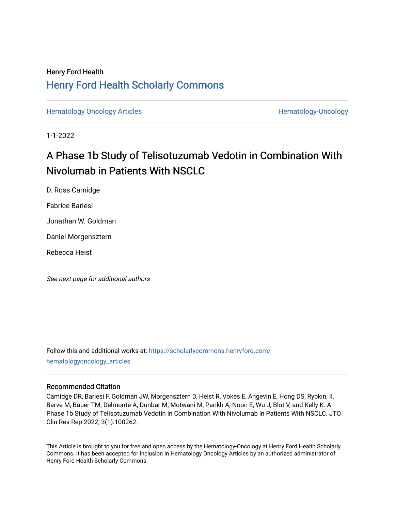# Henry Ford Health [Henry Ford Health Scholarly Commons](https://scholarlycommons.henryford.com/)

[Hematology Oncology Articles](https://scholarlycommons.henryford.com/hematologyoncology_articles) **Hematology-Oncology** 

1-1-2022

# A Phase 1b Study of Telisotuzumab Vedotin in Combination With Nivolumab in Patients With NSCLC

D. Ross Camidge

Fabrice Barlesi

Jonathan W. Goldman

Daniel Morgensztern

Rebecca Heist

See next page for additional authors

Follow this and additional works at: [https://scholarlycommons.henryford.com/](https://scholarlycommons.henryford.com/hematologyoncology_articles?utm_source=scholarlycommons.henryford.com%2Fhematologyoncology_articles%2F228&utm_medium=PDF&utm_campaign=PDFCoverPages) [hematologyoncology\\_articles](https://scholarlycommons.henryford.com/hematologyoncology_articles?utm_source=scholarlycommons.henryford.com%2Fhematologyoncology_articles%2F228&utm_medium=PDF&utm_campaign=PDFCoverPages)

## Recommended Citation

Camidge DR, Barlesi F, Goldman JW, Morgensztern D, Heist R, Vokes E, Angevin E, Hong DS, Rybkin, II, Barve M, Bauer TM, Delmonte A, Dunbar M, Motwani M, Parikh A, Noon E, Wu J, Blot V, and Kelly K. A Phase 1b Study of Telisotuzumab Vedotin in Combination With Nivolumab in Patients With NSCLC. JTO Clin Res Rep 2022; 3(1):100262.

This Article is brought to you for free and open access by the Hematology-Oncology at Henry Ford Health Scholarly Commons. It has been accepted for inclusion in Hematology Oncology Articles by an authorized administrator of Henry Ford Health Scholarly Commons.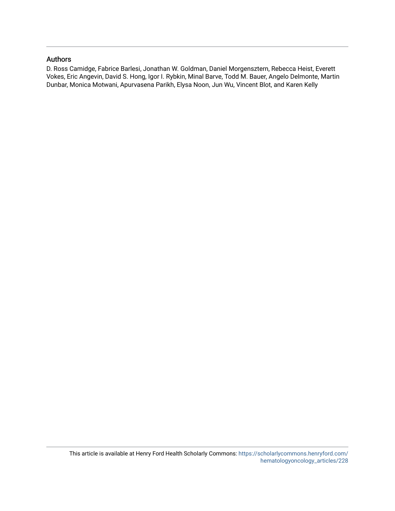## Authors

D. Ross Camidge, Fabrice Barlesi, Jonathan W. Goldman, Daniel Morgensztern, Rebecca Heist, Everett Vokes, Eric Angevin, David S. Hong, Igor I. Rybkin, Minal Barve, Todd M. Bauer, Angelo Delmonte, Martin Dunbar, Monica Motwani, Apurvasena Parikh, Elysa Noon, Jun Wu, Vincent Blot, and Karen Kelly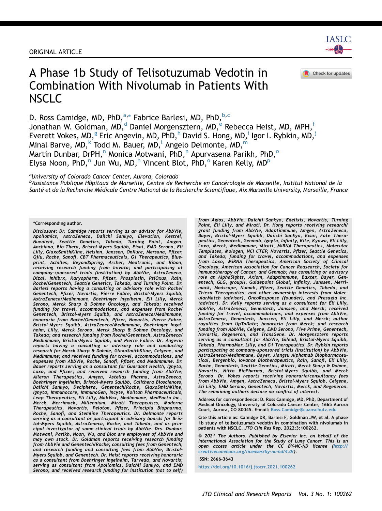#### ORIGINAL ARTICLE

**IASLC** 

# A Phase 1b Study of Telisotuzumab Vedotin in Combination With Nivolumab in Patients With NSCLC



D. Ross C[a](#page-2-0)midge, MD, PhD, <sup>a,\*</sup> Fabrice Barlesi, MD, PhD, <sup>[b,](#page-2-1) [c](#page-3-0)</sup> Jonathan W. Goldman, MD,<sup>d</sup> Dani[e](#page-3-2)l Morgensztern, MD, Rebecca Heist, MD, MPH,<sup>[f](#page-3-3)</sup> Everett Vokes, MD,<sup>[g](#page-3-4)</sup> Eric Angevin, MD, P[h](#page-3-5)D,<sup>h</sup> Dav[i](#page-3-6)d S. Hong, MD,<sup>i</sup> Igor I. Rybkin, MD,<sup>[j](#page-3-7)</sup> Mina[l](#page-3-9) Barve, MD,  $k$  Todd M. Bauer, MD, Angelo Del[m](#page-3-10)onte, MD, m Marti[n](#page-3-11) Dunbar, DrPH,<sup>n</sup> M[o](#page-3-12)nica Motwani, PhD,<sup>n</sup> Apurvasena Parikh, PhD,<sup>o</sup> Elysa Noo[n](#page-3-11), PhD,<sup>n</sup> Jun Wu, MD,<sup>n</sup> Vincent Bl[o](#page-3-12)t, PhD,<su[p](#page-3-13)>o</sup> Karen Kelly, MD<sup>p</sup>

<span id="page-2-0"></span><sup>a</sup>University of Colorado Cancer Center, Aurora, Colorado

<span id="page-2-1"></span><sup>b</sup>Assistance Publique Hôpitaux de Marseille, Centre de Recherche en Cancérologie de Marseille, Institut National de la Santé et de la Recherche Médicale Centre National de la Recherche Scientifique, Aix Marseille University, Marseille, France

\*Corresponding author.

Disclosure: Dr. Camidge reports serving as an advisor for AbbVie, Apollomics, AstraZeneca, Daiichi Sankyo, Elevation, Kestrel, Nuvalent, Seattle Genetics, Takeda, Turning Point, Amgen, Anchiano, Bio-Thera, Bristol-Myers Squibb, Eisai, EMD Serono, Eli Lilly, GlaxoSmithKline, Helsinn, Janssen, OnKure, Mersana, Pfizer, Qilu, Roche, Sanofi, CBT Pharmaceuticals, G1 Therapeutics, Blueprint, Achilles, BeyondSpring, Archer, Medtronic, and Ribon; receiving research funding from Inivata; and participating at company-sponsored trials (institution) by AbbVie, AstraZeneca, Dizal, Inhibrx, Karyopharm, Pfizer, Phosplatin, PsiOxus, Rain, Roche/Genentech, Seattle Genetics, Takeda, and Turning Point. Dr. Barlesi reports having a consulting or advisory role with Roche/ Genentech, Pfizer, Novartis, Pierre Fabre, Bristol-Myers Squibb, AstraZeneca/MedImmune, Boehringer Ingelheim, Eli Lilly, Merck Serono, Merck Sharp & Dohme Oncology, and Takeda; received funding for travel, accommodations, and expenses from Roche/ Genentech, Bristol-Myers Squibb, and AstraZeneca/MedImmune; honoraria from Roche/Genentech, Pfizer, Novartis, Pierre Fabre, Bristol-Myers Squibb, AstraZeneca/MedImmune, Boehringer Ingelheim, Lilly, Merck Serono, Merck Sharp & Dohme Oncology, and Takeda; and research funding from Roche/Genentech, AstraZeneca/ MedImmune, Bristol-Myers Squibb, and Pierre Fabre. Dr. Angevin reports having a consulting or advisory role and conducting research for Merck Sharp & Dohme, GlaxoSmithKline, Celgene, and MedImmune; and received funding for travel, accommodations, and expenses from AbbVie, Roche, Sanofi, Pfizer, and MedImmune. Dr. Bauer reports serving as a consultant for Guardant Health, Ignyta, Loxo, and Pfizer; and received research funding from AbbVie, Aileron Therapeutics, Amgen, Astellas Pharma, AstraZeneca, Boehringer Ingelheim, Bristol-Myers Squibb, Calithera Biosciences, Daiichi Sankyo, Deciphera, Genentech/Roche, GlaxoSmithKline, Ignyta, Immunocore, ImmunoGen, Incyte, Kolltan Pharmaceuticals, Leap Therapeutics, Eli Lilly, MabVax, MedImmune, MedPacto Inc., Merck, Merrimack, Millennium, Mirati Therapeutics, Moderna Therapeutics, Novartis, Peloton, Pfizer, Principia Biopharma, Roche, Sanofi, and Stemline Therapeutics. Dr. Delmonte reports serving as a consultant or participant in advisory boards for Bristol-Myers Squibb, AstraZeneca, Roche, and Takeda, and as principal investigator of some clinical trials by AbbVie. Drs. Dunbar, Motwani, Parikh, Noon, Wu, and Blot are employees of AbbVie and may own stock. Dr. Goldman reports receiving research funding from AbbVie and Genentech/Roche; consulting fees from Genentech; and research funding and consulting fees from AbbVie, Bristol-Myers Squibb, and Genentech. Dr. Heist reports receiving honoraria as a consultant from Boehringer Ingelheim, Tarveda, and Novartis; serving as consultant from Apollomics, Daichii Sankyo, and EMD Serono; and received research funding for institution (not to self) from Agios, AbbVie, Daichii Sankyo, Exelixis, Novartis, Turning Point, Eli Lilly, and Mirati. Dr. Hong reports receiving research/ grant funding from AbbVie, Adaptimmune, Amgen, AstraZeneca, Bayer, Bristol-Myers Squibb, Daiichi Sankyo, Eisai, Fate Thera-peutics, Genentech, Genmab, Ignyta, Infinity, Kite, Kyowa, Eli Lilly, Loxo, Merck, MedImmune, Mirati, MiRNA Therapeutics, Molecular Templates, Mologen, NCI CTEP, Novartis, Pfizer, Seattle Genetics, and Takeda; funding for travel, accommodations, and expenses from Loxo, MiRNA Therapeutics, American Society of Clinical Oncology, American Association for Cancer Reasearch, Society for Immunotherapy of Cancer, and Genmab; has consulting or advisory role at AlphaSights, Axiom, Adaptimmune, Baxter, Bayer, Gen-entech, GLG, groupH, Guidepoint Global, Infinity, Janssen, Merrimack, Medscape, Numab, Pfizer, Seattle Genetics, Takeda, and Trieza Therapeutics; and other ownership interests from MolecularMatch (advisor), OncoResponse (founder), and Presagia Inc. (advisor). Dr. Kelly reports serving as a consultant for Eli Lilly, AbbVie, AstraZeneca, Genentech, Janssen, and Merck; received funding for travel, accommodations, and expenses from AbbVie, AstraZeneca, Genentech, Janssen, Eli Lilly, and Merck; author royalties from UpToDate; honoraria from Merck; and research funding from AbbVie, Celgene, EMD Serono, Five Prime, Genentech, Novartis, Regeneron, and TransGene. Dr. Morgensztern reports serving as a consultant for AbbVie, Gilead, Bristol-Myers Squibb, Takeda, PharmaMar, Lilly, and G1 Therapeutics. Dr. Rybkin reports participating at company-sponsored trials (institution) by AbbVie, AstraZeneca/MedImmune, Bayer, Jiangsu Alphamab Biopharmaceutical, Bergenbio, Iovance Biotherapeutics, Rain, Sanofi, Eli Lilly, Roche, Genentech, Seattle Genetics, Mirati, Merck Sharp & Dohme, Novartis, Nitto BioPharma, Bristol-Myers Squibb, and Merck Serono. Dr. Vokes reports receiving honoraria/consultancy fees from AbbVie, Amgen, AstraZeneca, Bristol-Myers Squibb, Celgene, Eli Lilly, EMD Serono, Genentech, Novartis, Merck, and Regeneron. The remaining authors declare no conflict of interest.

Address for correspondence: D. Ross Camidge, MD, PhD, Department of Medical Oncology, University of Colorado Cancer Center, 1665 Aurora Court, Aurora, CO 80045. E-mail: [Ross.Camidge@cuanschutz.edu](mailto:Ross.Camidge@cuanschutz.edu)

Cite this article as: Camidge DR, Barlesi F, Goldman JW, et al. A phase 1b study of telisotuzumab vedotin in combination with nivolumab in patients with NSCLC. JTO Clin Res Rep. 2022;3:100262.

ª 2021 The Authors. Published by Elsevier Inc. on behalf of the International Association for the Study of Lung Cancer. This is an open access article under the CC BY-NC-ND license ([http://](http://creativecommons.org/licenses/by-nc-nd/4.0/) [creativecommons.org/licenses/by-nc-nd/4.0/\)](http://creativecommons.org/licenses/by-nc-nd/4.0/).

ISSN: 2666-3643

<https://doi.org/10.1016/j.jtocrr.2021.100262>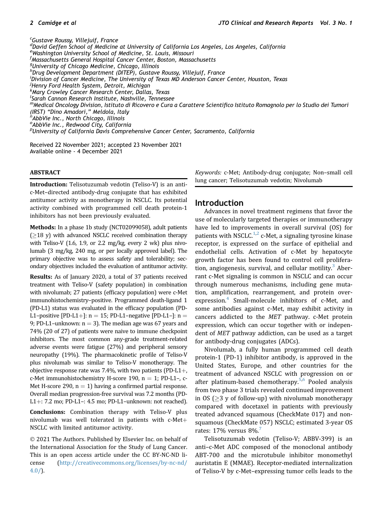<span id="page-3-8"></span><span id="page-3-7"></span><span id="page-3-6"></span><span id="page-3-5"></span><span id="page-3-4"></span><span id="page-3-3"></span><span id="page-3-2"></span><span id="page-3-1"></span><span id="page-3-0"></span><sup>c</sup>Gustave Roussy, Villejuif, France <sup>d</sup>David Geffen Śchool of Medicine at University of California Los Angeles, Los Angeles, California e Washington University School of Medicine, St. Louis, Missouri f Massachusetts General Hospital Cancer Center, Boston, Massachusetts <sup>g</sup>University of Chicago Medicine, Chicago, Illinois <sup>h</sup>Drug Development Department (DITEP), Gustave Roussy, Villejuif, France <sup>i</sup>Division of Cancer Medicine, The University of Texas MD Anderson Cancer Center, Houston, Texas <sup>j</sup>Henry Ford Health System, Detroit, Michigan k Mary Crowley Cancer Research Center, Dallas, Texas l Sarah Cannon Research Institute, Nashville, Tennessee mMedical Oncology Division, Istituto di Ricovero e Cura a Carattere Scientifico Istituto Romagnolo per lo Studio dei Tumori (IRST) "Dino Amadori," Meldola, Italy<br><sup>n</sup>AbbVie Inc., North Chicago, Illinois  $^{\rm o}$ AbbVie Inc $.$ , Redwood City, California <sup>p</sup>University of California Davis Comprehensive Cancer Center, Sacramento, California

<span id="page-3-13"></span><span id="page-3-12"></span><span id="page-3-11"></span><span id="page-3-10"></span><span id="page-3-9"></span>Received 22 November 2021; accepted 23 November 2021 Available online - 4 December 2021

#### ABSTRACT

Introduction: Telisotuzumab vedotin (Teliso-V) is an antic-Met–directed antibody-drug conjugate that has exhibited antitumor activity as monotherapy in NSCLC. Its potential activity combined with programmed cell death protein-1 inhibitors has not been previously evaluated.

Methods: In a phase 1b study (NCT02099058), adult patients  $( \geq 18$  y) with advanced NSCLC received combination therapy with Teliso-V (1.6, 1.9, or 2.2 mg/kg, every 2 wk) plus nivolumab (3 mg/kg, 240 mg, or per locally approved label). The primary objective was to assess safety and tolerability; secondary objectives included the evaluation of antitumor activity.

Results: As of January 2020, a total of 37 patients received treatment with Teliso-V (safety population) in combination with nivolumab; 27 patients (efficacy population) were c-Met immunohistochemistry–positive. Programmed death-ligand 1 (PD-L1) status was evaluated in the efficacy population (PD-L1-positive [PD-L1+]:  $n = 15$ ; PD-L1-negative [PD-L1-]:  $n =$ 9; PD-L1–unknown:  $n = 3$ ). The median age was 67 years and 74% (20 of 27) of patients were naive to immune checkpoint inhibitors. The most common any-grade treatment-related adverse events were fatigue (27%) and peripheral sensory neuropathy (19%). The pharmacokinetic profile of Teliso-V plus nivolumab was similar to Teliso-V monotherapy. The objective response rate was  $7.4\%$ , with two patients (PD-L1+, c-Met immunohistochemistry H-score 190,  $n = 1$ ; PD-L1-, c-Met H-score 290,  $n = 1$ ) having a confirmed partial response. Overall median progression-free survival was 7.2 months (PD-L1+: 7.2 mo; PD-L1-: 4.5 mo; PD-L1-unknown: not reached).

Conclusions: Combination therapy with Teliso-V plus nivolumab was well tolerated in patients with  $c$ -Met+ NSCLC with limited antitumor activity.

© 2021 The Authors. Published by Elsevier Inc. on behalf of the International Association for the Study of Lung Cancer. This is an open access article under the CC BY-NC-ND license [\(http://creativecommons.org/licenses/by-nc-nd/](http://creativecommons.org/licenses/by-nc-nd/4.0/)  $4.0/$ ).

Keywords: c-Met; Antibody-drug conjugate; Non–small cell lung cancer; Telisotuzumab vedotin; Nivolumab

## Introduction

Advances in novel treatment regimens that favor the use of molecularly targeted therapies or immunotherapy have led to improvements in overall survival (OS) for patients with NSCLC.<sup>[1](#page-10-0),[2](#page-10-1)</sup> c-Met, a signaling tyrosine kinase receptor, is expressed on the surface of epithelial and endothelial cells. Activation of c-Met by hepatocyte growth factor has been found to control cell prolifera-tion, angiogenesis, survival, and cellular motility.<sup>[3](#page-10-2)</sup> Aberrant c-Met signaling is common in NSCLC and can occur through numerous mechanisms, including gene mutation, amplification, rearrangement, and protein overexpression. $4$  Small-molecule inhibitors of c-Met, and some antibodies against c-Met, may exhibit activity in cancers addicted to the MET pathway. c-Met protein expression, which can occur together with or independent of MET pathway addiction, can be used as a target for antibody-drug conjugates (ADCs).

Nivolumab, a fully human programmed cell death protein-1 (PD-1) inhibitor antibody, is approved in the United States, Europe, and other countries for the treatment of advanced NSCLC with progression on or after platinum-based chemotherapy.<sup>[5,](#page-10-4)[6](#page-10-5)</sup> Pooled analysis from two phase 3 trials revealed continued improvement in OS ( $\geq$ 3 y of follow-up) with nivolumab monotherapy compared with docetaxel in patients with previously treated advanced squamous (CheckMate 017) and nonsquamous (CheckMate 057) NSCLC; estimated 3-year OS rates:  $17\%$  $17\%$  $17\%$  versus  $8\%$ .

Telisotuzumab vedotin (Teliso-V; ABBV-399) is an anti–c-Met ADC composed of the monoclonal antibody ABT-700 and the microtubule inhibitor monomethyl auristatin E (MMAE). Receptor-mediated internalization of Teliso-V by c-Met–expressing tumor cells leads to the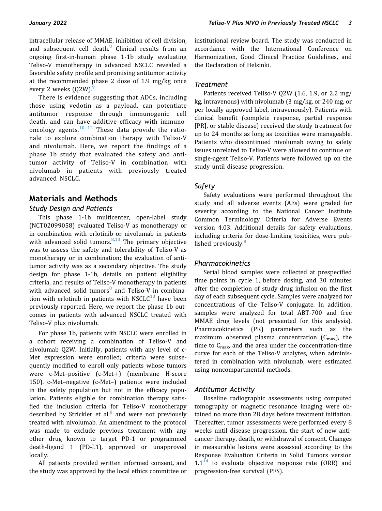intracellular release of MMAE, inhibition of cell division, and subsequent cell death.<sup>[8](#page-10-7)</sup> Clinical results from an ongoing first-in-human phase 1-1b study evaluating Teliso-V monotherapy in advanced NSCLC revealed a favorable safety profile and promising antitumor activity at the recommended phase 2 dose of 1.9 mg/kg once every 2 weeks  $(Q2W)$ .

There is evidence suggesting that ADCs, including those using vedotin as a payload, can potentiate antitumor response through immunogenic cell death, and can have additive efficacy with immunooncology agents. $10-12$  $10-12$  These data provide the rationale to explore combination therapy with Teliso-V and nivolumab. Here, we report the findings of a phase 1b study that evaluated the safety and antitumor activity of Teliso-V in combination with nivolumab in patients with previously treated advanced NSCLC.

# Materials and Methods

### Study Design and Patients

This phase 1-1b multicenter, open-label study (NCT02099058) evaluated Teliso-V as monotherapy or in combination with erlotinib or nivolumab in patients with advanced solid tumors.  $8,13$  $8,13$  The primary objective was to assess the safety and tolerability of Teliso-V as monotherapy or in combination; the evaluation of antitumor activity was as a secondary objective. The study design for phase 1-1b, details on patient eligibility criteria, and results of Teliso-V monotherapy in patients with advanced solid tumors $8$  and Teliso-V in combination with erlotinib in patients with NSCLC $^{13}$  $^{13}$  $^{13}$  have been previously reported. Here, we report the phase 1b outcomes in patients with advanced NSCLC treated with Teliso-V plus nivolumab.

For phase 1b, patients with NSCLC were enrolled in a cohort receiving a combination of Teliso-V and nivolumab Q2W. Initially, patients with any level of c-Met expression were enrolled; criteria were subsequently modified to enroll only patients whose tumors were  $c$ -Met-positive  $(c$ -Met+ $)$  (membrane H-score 150). c-Met–negative (c-Met–) patients were included in the safety population but not in the efficacy population. Patients eligible for combination therapy satisfied the inclusion criteria for Teliso-V monotherapy described by Strickler et al. $8$  and were not previously treated with nivolumab. An amendment to the protocol was made to exclude previous treatment with any other drug known to target PD-1 or programmed death-ligand 1 (PD-L1), approved or unapproved locally.

All patients provided written informed consent, and the study was approved by the local ethics committee or institutional review board. The study was conducted in accordance with the International Conference on Harmonization, Good Clinical Practice Guidelines, and the Declaration of Helsinki.

#### Treatment

Patients received Teliso-V Q2W (1.6, 1.9, or 2.2 mg/ kg, intravenous) with nivolumab (3 mg/kg, or 240 mg, or per locally approved label, intravenously). Patients with clinical benefit (complete response, partial response [PR], or stable disease) received the study treatment for up to 24 months as long as toxicities were manageable. Patients who discontinued nivolumab owing to safety issues unrelated to Teliso-V were allowed to continue on single-agent Teliso-V. Patients were followed up on the study until disease progression.

## Safety

Safety evaluations were performed throughout the study and all adverse events (AEs) were graded for severity according to the National Cancer Institute Common Terminology Criteria for Adverse Events version 4.03. Additional details for safety evaluations, including criteria for dose-limiting toxicities, were pub-lished previously<sup>[8](#page-10-7)</sup>

## Pharmacokinetics

Serial blood samples were collected at prespecified time points in cycle 1, before dosing, and 30 minutes after the completion of study drug infusion on the first day of each subsequent cycle. Samples were analyzed for concentrations of the Teliso-V conjugate. In addition, samples were analyzed for total ABT-700 and free MMAE drug levels (not presented for this analysis). Pharmacokinetics (PK) parameters such as the maximum observed plasma concentration  $(C_{\text{max}})$ , the time to  $C_{\text{max}}$ , and the area under the concentration-time curve for each of the Teliso-V analytes, when administered in combination with nivolumab, were estimated using noncompartmental methods.

## Antitumor Activity

Baseline radiographic assessments using computed tomography or magnetic resonance imaging were obtained no more than 28 days before treatment initiation. Thereafter, tumor assessments were performed every 8 weeks until disease progression, the start of new anticancer therapy, death, or withdrawal of consent. Changes in measurable lesions were assessed according to the Response Evaluation Criteria in Solid Tumors version  $1.1<sup>14</sup>$  $1.1<sup>14</sup>$  $1.1<sup>14</sup>$  to evaluate objective response rate (ORR) and progression-free survival (PFS).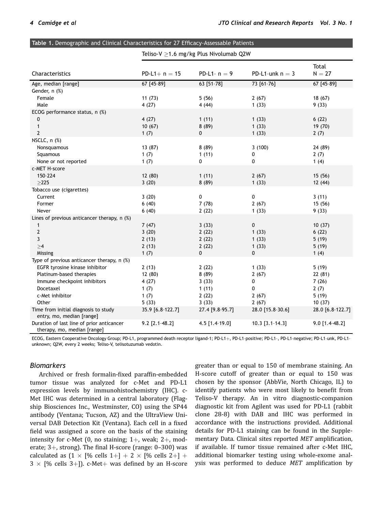<span id="page-5-0"></span>

| Table 1. Demographic and Clinical Characteristics for 27 Efficacy-Assessable Patients |                                        |                  |                   |                   |  |  |  |  |  |
|---------------------------------------------------------------------------------------|----------------------------------------|------------------|-------------------|-------------------|--|--|--|--|--|
|                                                                                       | Teliso-V ≥1.6 mg/kg Plus Nivolumab Q2W |                  |                   |                   |  |  |  |  |  |
| Characteristics                                                                       | $PD-L1+ n = 15$                        | PD-L1- $n = 9$   | PD-L1-unk $n = 3$ | Total<br>$N = 27$ |  |  |  |  |  |
| Age, median [range]                                                                   | 67 [45-89]                             | 63 [51-78]       | 73 [61-76]        | 67 [45-89]        |  |  |  |  |  |
| Gender, n (%)                                                                         |                                        |                  |                   |                   |  |  |  |  |  |
| Female                                                                                | 11(73)                                 | 5(56)            | 2(67)             | 18(67)            |  |  |  |  |  |
| Male                                                                                  | 4(27)                                  | 4(44)            | 1(33)             | 9(33)             |  |  |  |  |  |
| ECOG performance status, n (%)                                                        |                                        |                  |                   |                   |  |  |  |  |  |
| 0                                                                                     | 4(27)                                  | 1(11)            | 1(33)             | 6(22)             |  |  |  |  |  |
| $\mathbf{1}$                                                                          | 10(67)                                 | 8(89)            | 1(33)             | 19 (70)           |  |  |  |  |  |
| $\overline{2}$                                                                        | 1(7)                                   | 0                | 1(33)             | 2(7)              |  |  |  |  |  |
| NSCLC, $n$ $%$                                                                        |                                        |                  |                   |                   |  |  |  |  |  |
| Nonsquamous                                                                           | 13 (87)                                | 8(89)            | 3(100)            | 24 (89)           |  |  |  |  |  |
| Squamous                                                                              | 1(7)                                   | 1(11)            | 0                 | 2(7)              |  |  |  |  |  |
| None or not reported                                                                  | 1(7)                                   | 0                | 0                 | 1(4)              |  |  |  |  |  |
| c-MET H-score                                                                         |                                        |                  |                   |                   |  |  |  |  |  |
| 150-224                                                                               | 12 (80)                                | 1(11)            | 2(67)             | 15 (56)           |  |  |  |  |  |
| $\geq$ 225                                                                            | 3(20)                                  | 8(89)            | 1(33)             | 12 (44)           |  |  |  |  |  |
| Tobacco use (cigarettes)                                                              |                                        |                  |                   |                   |  |  |  |  |  |
| Current                                                                               | 3(20)                                  | $\pmb{0}$        | $\pmb{0}$         | 3(11)             |  |  |  |  |  |
| Former                                                                                | 6(40)                                  | 7(78)            | 2(67)             | 15 (56)           |  |  |  |  |  |
| Never                                                                                 | 6(40)                                  | 2(22)            | 1(33)             | 9(33)             |  |  |  |  |  |
| Lines of previous anticancer therapy, n (%)                                           |                                        |                  |                   |                   |  |  |  |  |  |
| 1                                                                                     | 7(47)                                  | 3(33)            | 0                 | 10(37)            |  |  |  |  |  |
| $\mathbf{2}$                                                                          | 3(20)                                  | 2(22)            | 1(33)             | 6(22)             |  |  |  |  |  |
| 3                                                                                     | 2(13)                                  | 2(22)            | 1(33)             | 5(19)             |  |  |  |  |  |
| $\geq 4$                                                                              | 2(13)                                  | 2(22)            | 1(33)             | 5(19)             |  |  |  |  |  |
| Missing                                                                               | 1(7)                                   | 0                | 0                 | 1(4)              |  |  |  |  |  |
| Type of previous anticancer therapy, n (%)                                            |                                        |                  |                   |                   |  |  |  |  |  |
| EGFR tyrosine kinase inhibitor                                                        | 2(13)                                  | 2(22)            | 1(33)             | 5(19)             |  |  |  |  |  |
| Platinum-based therapies                                                              | 12 (80)                                | 8(89)            | 2(67)             | 22(81)            |  |  |  |  |  |
| Immune checkpoint inhibitors                                                          | 4(27)                                  | 3(33)            | 0                 | 7(26)             |  |  |  |  |  |
| Docetaxel                                                                             | 1(7)                                   | 1(11)            | 0                 | 2(7)              |  |  |  |  |  |
| c-Met inhibitor                                                                       | 1(7)                                   | 2(22)            | 2(67)             | 5(19)             |  |  |  |  |  |
| Other                                                                                 | 5(33)                                  | 3(33)            | 2(67)             | 10(37)            |  |  |  |  |  |
| Time from initial diagnosis to study<br>entry, mo, median [range]                     | 35.9 [6.8-122.7]                       | 27.4 [9.8-95.7]  | 28.0 [15.8-30.6]  | 28.0 [6.8-122.7]  |  |  |  |  |  |
| Duration of last line of prior anticancer<br>therapy, mo, median [range]              | $9.2$ [2.1-48.2]                       | $4.5$ [1.4-19.0] | $10.3$ [3.1-14.3] | $9.0$ [1.4-48.2]  |  |  |  |  |  |

ECOG, Eastern Cooperative Oncology Group; PD-L1, programmed death receptor ligand-1; PD-L1+, PD-L1-positive; PD-L1-, PD-L1-negative; PD-L1-unk, PD-L1unknown; Q2W, every 2 weeks; Teliso-V, telisotuzumab vedotin.

#### Biomarkers

Archived or fresh formalin-fixed paraffin-embedded tumor tissue was analyzed for c-Met and PD-L1 expression levels by immunohistochemistry (IHC). c-Met IHC was determined in a central laboratory (Flagship Biosciences Inc., Westminster, CO) using the SP44 antibody (Ventana; Tucson, AZ) and the UltraView Universal DAB Detection Kit (Ventana). Each cell in a fixed field was assigned a score on the basis of the staining intensity for c-Met  $(0, no$  staining;  $1+$ , weak;  $2+$ , moderate;  $3+$ , strong). The final H-score (range: 0–300) was calculated as  $(1 \times \lceil \% \text{ cells } 1 + \rceil + 2 \times \lceil \% \text{ cells } 2 + \rceil + \rceil$  $3 \times$  [% cells 3+]). c-Met+ was defined by an H-score greater than or equal to 150 of membrane staining. An H-score cutoff of greater than or equal to 150 was chosen by the sponsor (AbbVie, North Chicago, IL) to identify patients who were most likely to benefit from Teliso-V therapy. An in vitro diagnostic-companion diagnostic kit from Agilent was used for PD-L1 (rabbit clone 28-8) with DAB and IHC was performed in accordance with the instructions provided. Additional details for PD-L1 staining can be found in the Supplementary Data. Clinical sites reported MET amplification, if available. If tumor tissue remained after c-Met IHC, additional biomarker testing using whole-exome analysis was performed to deduce MET amplification by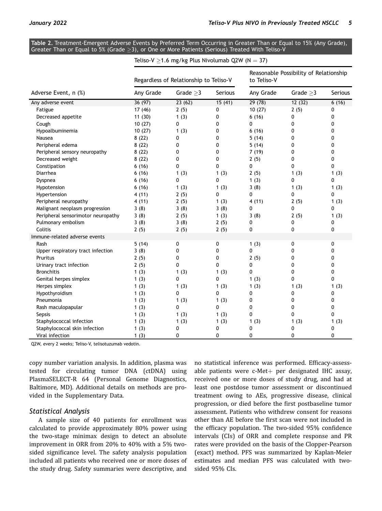<span id="page-6-0"></span>Table 2. Treatment-Emergent Adverse Events by Preferred Term Occurring in Greater Than or Equal to 15% (Any Grade), Greater Than or Equal to 5% (Grade  $\geq$ 3), or One or More Patients (Serious) Treated With Teliso-V

|                                    | Teliso-V $\geq$ 1.6 mg/kg Plus Nivolumab Q2W (N = 37) |                |              |                                                       |                |         |  |  |
|------------------------------------|-------------------------------------------------------|----------------|--------------|-------------------------------------------------------|----------------|---------|--|--|
| Adverse Event, n (%)               | Regardless of Relationship to Teliso-V                |                |              | Reasonable Possibility of Relationship<br>to Teliso V |                |         |  |  |
|                                    | Any Grade                                             | Grade $\geq$ 3 | Serious      | Any Grade                                             | Grade $\geq$ 3 | Serious |  |  |
| Any adverse event                  | 36(97)                                                | 23(62)         | 15(41)       | 29(78)                                                | 12(32)         | 6(16)   |  |  |
| Fatigue                            | 17 (46)                                               | 2(5)           | 0            | 10(27)                                                | 2(5)           | 0       |  |  |
| Decreased appetite                 | 11(30)                                                | 1(3)           | 0            | 6(16)                                                 | 0              | 0       |  |  |
| Cough                              | 10(27)                                                | 0              | 0            | 0                                                     | 0              | 0       |  |  |
| Hypoalbuminemia                    | 10(27)                                                | 1(3)           | 0            | 6(16)                                                 | 0              | 0       |  |  |
| Nausea                             | 8(22)                                                 | 0              | 0            | 5(14)                                                 | 0              | 0       |  |  |
| Peripheral edema                   | 8(22)                                                 | 0              | 0            | 5(14)                                                 | 0              | 0       |  |  |
| Peripheral sensory neuropathy      | 8(22)                                                 | 0              | 0            | 7(19)                                                 | 0              | 0       |  |  |
| Decreased weight                   | 8(22)                                                 | 0              | 0            | 2(5)                                                  | 0              | 0       |  |  |
| Constipation                       | 6(16)                                                 | 0              | 0            | 0                                                     | 0              | 0       |  |  |
| Diarrhea                           | 6(16)                                                 | 1(3)           | 1(3)         | 2(5)                                                  | 1(3)           | 1(3)    |  |  |
| Dyspnea                            | 6(16)                                                 | 0              | 0            | 1(3)                                                  | 0              | 0       |  |  |
| Hypotension                        | 6(16)                                                 | 1(3)           | 1(3)         | 3(8)                                                  | 1(3)           | 1(3)    |  |  |
| Hypertension                       | 4(11)                                                 | 2(5)           | $\mathbf{0}$ | 0                                                     | 0              | 0       |  |  |
| Peripheral neuropathy              | 4(11)                                                 | 2(5)           | 1(3)         | 4(11)                                                 | 2(5)           | 1(3)    |  |  |
| Malignant neoplasm progression     | 3(8)                                                  | 3(8)           | 3(8)         | 0                                                     | 0              | 0       |  |  |
| Peripheral sensorimotor neuropathy | 3(8)                                                  | 2(5)           | 1(3)         | 3(8)                                                  | 2(5)           | 1(3)    |  |  |
| Pulmonary embolism                 | 3(8)                                                  | 3(8)           | 2(5)         | 0                                                     | 0              | 0       |  |  |
| Colitis                            | 2(5)                                                  | 2(5)           | 2(5)         | 0                                                     | 0              | 0       |  |  |
| Immune-related adverse events      |                                                       |                |              |                                                       |                |         |  |  |
| Rash                               | 5(14)                                                 | 0              | 0            | 1(3)                                                  | 0              | 0       |  |  |
| Upper respiratory tract infection  | 3(8)                                                  | $\mathbf{0}$   | 0            | 0                                                     | 0              | 0       |  |  |
| Pruritus                           | 2(5)                                                  | 0              | 0            | 2(5)                                                  | 0              | 0       |  |  |
| Urinary tract infection            | 2(5)                                                  | 0              | 0            | 0                                                     | 0              | 0       |  |  |
| <b>Bronchitis</b>                  | 1(3)                                                  | 1(3)           | 1(3)         | $\mathbf 0$                                           | 0              | 0       |  |  |
| Genital herpes simplex             | 1(3)                                                  | 0              | 0            | 1(3)                                                  | 0              | 0       |  |  |
| Herpes simplex                     | 1(3)                                                  | 1(3)           | 1(3)         | 1(3)                                                  | 1(3)           | 1(3)    |  |  |
| Hypothyroidism                     | 1(3)                                                  | 0              | $\mathbf{0}$ | 0                                                     | 0              | 0       |  |  |
| Pneumonia                          | 1(3)                                                  | 1(3)           | 1(3)         | 0                                                     | 0              | 0       |  |  |
| Rash maculopapular                 | 1(3)                                                  | 0              | $\Omega$     | 0                                                     | 0              | 0       |  |  |
| Sepsis                             | 1(3)                                                  | 1(3)           | 1(3)         | 0                                                     | 0              | 0       |  |  |
| Staphylococcal infection           | 1(3)                                                  | 1(3)           | 1(3)         | 1(3)                                                  | 1(3)           | 1(3)    |  |  |
| Staphylococcal skin infection      | 1(3)                                                  | 0              | 0            | 0                                                     | 0              | 0       |  |  |
| Viral infection                    | 1(3)                                                  | 0              | $\mathbf{0}$ | 0                                                     | $\mathbf{0}$   | 0       |  |  |

Q2W, every 2 weeks; Teliso-V, telisotuzumab vedotin.

copy number variation analysis. In addition, plasma was tested for circulating tumor DNA (ctDNA) using PlasmaSELECT-R 64 (Personal Genome Diagnostics, Baltimore, MD). Additional details on methods are provided in the Supplementary Data.

#### Statistical Analysis

A sample size of 40 patients for enrollment was calculated to provide approximately 80% power using the two-stage minimax design to detect an absolute improvement in ORR from 20% to 40% with a 5% twosided significance level. The safety analysis population included all patients who received one or more doses of the study drug. Safety summaries were descriptive, and

no statistical inference was performed. Efficacy-assessable patients were  $c$ -Met $+$  per designated IHC assay, received one or more doses of study drug, and had at least one postdose tumor assessment or discontinued treatment owing to AEs, progressive disease, clinical progression, or died before the first postbaseline tumor assessment. Patients who withdrew consent for reasons other than AE before the first scan were not included in the efficacy population. The two-sided 95% confidence intervals (CIs) of ORR and complete response and PR rates were provided on the basis of the Clopper-Pearson (exact) method. PFS was summarized by Kaplan-Meier estimates and median PFS was calculated with twosided 95% CIs.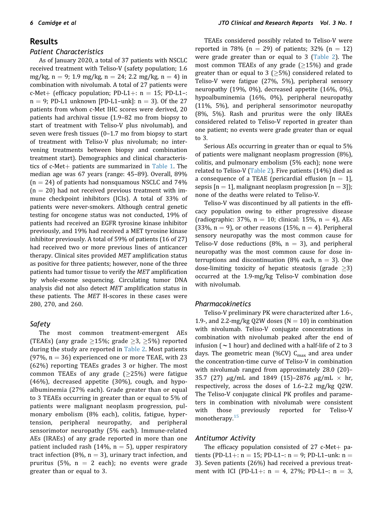# Results

#### Patient Characteristics

As of January 2020, a total of 37 patients with NSCLC received treatment with Teliso-V (safety population; 1.6 mg/kg, n = 9; 1.9 mg/kg, n = 24; 2.2 mg/kg, n = 4) in combination with nivolumab. A total of 27 patients were c-Met+ (efficacy population; PD-L1+:  $n = 15$ ; PD-L1-:  $n = 9$ ; PD-L1 unknown [PD-L1-unk]:  $n = 3$ ). Of the 27 patients from whom c-Met IHC scores were derived, 20 patients had archival tissue (1.9–82 mo from biopsy to start of treatment with Teliso-V plus nivolumab), and seven were fresh tissues (0–1.7 mo from biopsy to start of treatment with Teliso-V plus nivolumab; no intervening treatments between biopsy and combination treatment start). Demographics and clinical characteristics of  $c$ -Met $+$  patients are summarized in [Table 1](#page-5-0). The median age was 67 years (range: 45–89). Overall, 89%  $(n = 24)$  of patients had nonsquamous NSCLC and 74%  $(n = 20)$  had not received previous treatment with immune checkpoint inhibitors (ICIs). A total of 33% of patients were never-smokers. Although central genetic testing for oncogene status was not conducted, 19% of patients had received an EGFR tyrosine kinase inhibitor previously, and 19% had received a MET tyrosine kinase inhibitor previously. A total of 59% of patients (16 of 27) had received two or more previous lines of anticancer therapy. Clinical sites provided MET amplification status as positive for three patients; however, none of the three patients had tumor tissue to verify the MET amplification by whole-exome sequencing. Circulating tumor DNA analysis did not also detect MET amplification status in these patients. The MET H-scores in these cases were 280, 270, and 260.

## Safety

The most common treatment-emergent AEs (TEAEs) (any grade  $\geq$ 15%; grade  $\geq$ 3,  $\geq$ 5%) reported during the study are reported in [Table 2.](#page-6-0) Most patients  $(97\%, n = 36)$  experienced one or more TEAE, with 23 (62%) reporting TEAEs grades 3 or higher. The most common TEAEs of any grade  $(\geq 25\%)$  were fatigue (46%), decreased appetite (30%), cough, and hypoalbuminemia (27% each). Grade greater than or equal to 3 TEAEs occurring in greater than or equal to 5% of patients were malignant neoplasm progression, pulmonary embolism (8% each), colitis, fatigue, hypertension, peripheral neuropathy, and peripheral sensorimotor neuropathy (5% each). Immune-related AEs (IRAEs) of any grade reported in more than one patient included rash (14%,  $n = 5$ ), upper respiratory tract infection (8%,  $n = 3$ ), urinary tract infection, and pruritus (5%,  $n = 2$  each); no events were grade greater than or equal to 3.

TEAEs considered possibly related to Teliso-V were reported in 78% (n = 29) of patients; 32% (n = 12) were grade greater than or equal to 3 [\(Table 2\)](#page-6-0). The most common TEAEs of any grade  $(≥15%)$  and grade greater than or equal to 3 ( $\geq$ 5%) considered related to Teliso-V were fatigue (27%, 5%), peripheral sensory neuropathy (19%, 0%), decreased appetite (16%, 0%), hypoalbuminemia (16%, 0%), peripheral neuropathy (11%, 5%), and peripheral sensorimotor neuropathy (8%, 5%). Rash and pruritus were the only IRAEs considered related to Teliso-V reported in greater than one patient; no events were grade greater than or equal to 3.

Serious AEs occurring in greater than or equal to 5% of patients were malignant neoplasm progression (8%), colitis, and pulmonary embolism (5% each); none were related to Teliso-V [\(Table 2\)](#page-6-0). Five patients (14%) died as a consequence of a TEAE (pericardial effusion  $[n = 1]$ , sepsis  $[n = 1]$ , malignant neoplasm progression  $[n = 3]$ ; none of the deaths were related to Teliso-V.

Teliso-V was discontinued by all patients in the efficacy population owing to either progressive disease (radiographic: 37%,  $n = 10$ ; clinical: 15%,  $n = 4$ ), AEs (33%, n = 9), or other reasons (15%, n = 4). Peripheral sensory neuropathy was the most common cause for Teliso-V dose reductions (8%,  $n = 3$ ), and peripheral neuropathy was the most common cause for dose interruptions and discontinuation (8% each,  $n = 3$ ). One dose-limiting toxicity of hepatic steatosis (grade  $\geq$ 3) occurred at the 1.9-mg/kg Teliso-V combination dose with nivolumab.

#### Pharmacokinetics

Teliso-V preliminary PK were characterized after 1.6-, 1.9-, and 2.2-mg/kg Q2W doses ( $N = 10$ ) in combination with nivolumab. Teliso-V conjugate concentrations in combination with nivolumab peaked after the end of infusion ( $\sim$ 1 hour) and declined with a half-life of 2 to 3 days. The geometric mean (%CV)  $C_{\text{max}}$  and area under the concentration-time curve of Teliso-V in combination with nivolumab ranged from approximately 28.0 (20)– 35.7 (27)  $\mu$ g/mL and 1849 (15)–2876  $\mu$ g/mL  $\times$  hr, respectively, across the doses of 1.6–2.2 mg/kg Q2W. The Teliso-V conjugate clinical PK profiles and parameters in combination with nivolumab were consistent with those previously reported for Teliso-V monotherapy.[15](#page-10-12)

#### Antitumor Activity

The efficacy population consisted of 27 c-Met $+$  patients (PD-L1+:  $n = 15$ ; PD-L1-:  $n = 9$ ; PD-L1-unk:  $n =$ 3). Seven patients (26%) had received a previous treatment with ICI (PD-L1+:  $n = 4$ , 27%; PD-L1-:  $n = 3$ ,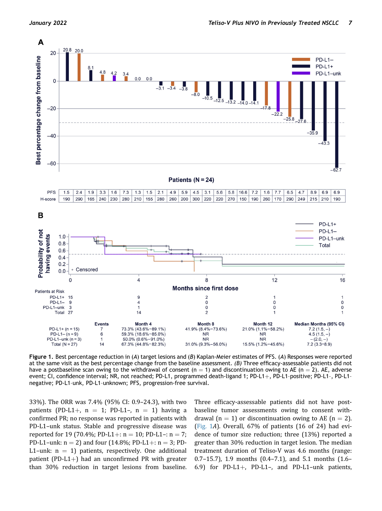<span id="page-8-0"></span>

Figure 1. Best percentage reduction in (A) target lesions and (B) Kaplan-Meier estimates of PFS. (A) Responses were reported at the same visit as the best percentage change from the baseline assessment. (B) Three efficacy-assessable patients did not have a postbaseline scan owing to the withdrawal of consent (n = 1) and discontinuation owing to AE (n = 2). AE, adverse event; CI, confidence interval; NR, not reached; PD-L1, programmed death-ligand 1; PD-L1+, PD-L1-positive; PD-L1-, PD-L1negative; PD-L1–unk, PD-L1–unknown; PFS, progression-free survival.

33%). The ORR was 7.4% (95% CI: 0.9–24.3), with two patients (PD-L1+,  $n = 1$ ; PD-L1-,  $n = 1$ ) having a confirmed PR; no response was reported in patients with PD-L1–unk status. Stable and progressive disease was reported for 19 (70.4%; PD-L1+:  $n = 10$ ; PD-L1-:  $n = 7$ ; PD-L1–unk:  $n = 2$ ) and four (14.8%; PD-L1+:  $n = 3$ ; PD-L1-unk:  $n = 1$ ) patients, respectively. One additional patient (PD-L1+) had an unconfirmed PR with greater than 30% reduction in target lesions from baseline. Three efficacy-assessable patients did not have postbaseline tumor assessments owing to consent withdrawal (n = 1) or discontinuation owing to AE (n = 2). ([Fig. 1](#page-8-0)A). Overall, 67% of patients (16 of 24) had evidence of tumor size reduction; three (13%) reported a greater than 30% reduction in target lesion. The median treatment duration of Teliso-V was 4.6 months (range: 0.7–15.7), 1.9 months (0.4–7.1), and 5.1 months (1.6– 6.9) for PD-L1+, PD-L1-, and PD-L1-unk patients,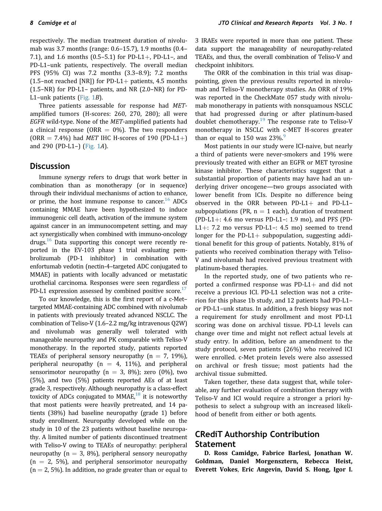respectively. The median treatment duration of nivolumab was 3.7 months (range: 0.6–15.7), 1.9 months (0.4– 7.1), and 1.6 months  $(0.5-5.1)$  for PD-L1+, PD-L1-, and PD-L1–unk patients, respectively. The overall median PFS (95% CI) was 7.2 months (3.3–8.9); 7.2 months (1.5–not reached [NR]) for PD-L1+ patients, 4.5 months (1.5–NR) for PD-L1– patients, and NR (2.0–NR) for PD-L1–unk patients [\(Fig. 1](#page-8-0)B).

Three patients assessable for response had METamplified tumors (H-scores: 260, 270, 280); all were EGFR wild-type. None of the MET-amplified patients had a clinical response (ORR  $= 0\%$ ). The two responders (ORR = 7.4%) had *MET* IHC H-scores of 190 (PD-L1+) and 290 (PD-L1–) [\(Fig. 1](#page-8-0)A).

## Discussion

Immune synergy refers to drugs that work better in combination than as monotherapy (or in sequence) through their individual mechanisms of action to enhance, or prime, the host immune response to cancer.<sup>16</sup> ADCs containing MMAE have been hypothesized to induce immunogenic cell death, activation of the immune system against cancer in an immunocompetent setting, and may act synergistically when combined with immuno-oncology drugs. $16$  Data supporting this concept were recently reported in the EV-103 phase 1 trial evaluating pembrolizumab (PD-1 inhibitor) in combination with enfortumab vedotin (nectin-4–targeted ADC conjugated to MMAE) in patients with locally advanced or metastatic urothelial carcinoma. Responses were seen regardless of PD-L1 expression assessed by combined positive score.<sup>[17](#page-11-1)</sup>

To our knowledge, this is the first report of a c-Met– targeted MMAE-containing ADC combined with nivolumab in patients with previously treated advanced NSCLC. The combination of Teliso-V (1.6–2.2 mg/kg intravenous Q2W) and nivolumab was generally well tolerated with manageable neuropathy and PK comparable with Teliso-V monotherapy. In the reported study, patients reported TEAEs of peripheral sensory neuropathy ( $n = 7$ , 19%), peripheral neuropathy ( $n = 4$ , 11%), and peripheral sensorimotor neuropathy ( $n = 3$ , 8%); zero (0%), two (5%), and two (5%) patients reported AEs of at least grade 3, respectively. Although neuropathy is a class-effect toxicity of ADCs conjugated to  $MMAE<sub>18</sub>$  it is noteworthy that most patients were heavily pretreated, and 14 patients (38%) had baseline neuropathy (grade 1) before study enrollment. Neuropathy developed while on the study in 10 of the 23 patients without baseline neuropathy. A limited number of patients discontinued treatment with Teliso-V owing to TEAEs of neuropathy: peripheral neuropathy ( $n = 3$ , 8%), peripheral sensory neuropathy  $(n = 2, 5\%)$ , and peripheral sensorimotor neuropathy  $(n = 2, 5\%)$ . In addition, no grade greater than or equal to

3 IRAEs were reported in more than one patient. These data support the manageability of neuropathy-related TEAEs, and thus, the overall combination of Teliso-V and checkpoint inhibitors.

The ORR of the combination in this trial was disappointing, given the previous results reported in nivolumab and Teliso-V monotherapy studies. An ORR of 19% was reported in the CheckMate 057 study with nivolumab monotherapy in patients with nonsquamous NSCLC that had progressed during or after platinum-based doublet chemotherapy.<sup>[19](#page-11-3)</sup> The response rate to Teliso-V monotherapy in NSCLC with c-MET H-scores greater than or equal to 150 was  $23\%$ .

Most patients in our study were ICI-naive, but nearly a third of patients were never-smokers and 19% were previously treated with either an EGFR or MET tyrosine kinase inhibitor. These characteristics suggest that a substantial proportion of patients may have had an underlying driver oncogene—two groups associated with lower benefit from ICIs. Despite no difference being observed in the ORR between PD-L1+ and PD-L1subpopulations (PR,  $n = 1$  each), duration of treatment (PD-L1+: 4.6 mo versus PD-L1-: 1.9 mo), and PFS (PD-L1+: 7.2 mo versus PD-L1-: 4.5 mo) seemed to trend longer for the PD-L1+ subpopulation, suggesting additional benefit for this group of patients. Notably, 81% of patients who received combination therapy with Teliso-V and nivolumab had received previous treatment with platinum-based therapies.

In the reported study, one of two patients who reported a confirmed response was  $PD-L1+$  and did not receive a previous ICI. PD-L1 selection was not a criterion for this phase 1b study, and 12 patients had PD-L1– or PD-L1–unk status. In addition, a fresh biopsy was not a requirement for study enrollment and most PD-L1 scoring was done on archival tissue. PD-L1 levels can change over time and might not reflect actual levels at study entry. In addition, before an amendment to the study protocol, seven patients (26%) who received ICI were enrolled. c-Met protein levels were also assessed on archival or fresh tissue; most patients had the archival tissue submitted.

Taken together, these data suggest that, while tolerable, any further evaluation of combination therapy with Teliso-V and ICI would require a stronger a priori hypothesis to select a subgroup with an increased likelihood of benefit from either or both agents.

# CRediT Authorship Contribution Statement

D. Ross Camidge, Fabrice Barlesi, Jonathan W. Goldman, Daniel Morgensztern, Rebecca Heist, Everett Vokes, Eric Angevin, David S. Hong, Igor I.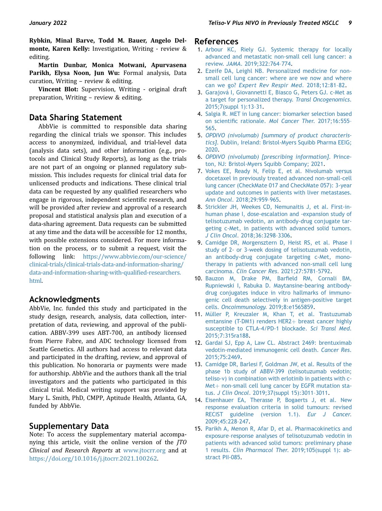Rybkin, Minal Barve, Todd M. Bauer, Angelo Delmonte, Karen Kelly: Investigation, Writing - review & editing.

Martin Dunbar, Monica Motwani, Apurvasena Parikh, Elysa Noon, Jun Wu: Formal analysis, Data curation, Writing – review & editing.

Vincent Blot: Supervision, Writing - original draft preparation, Writing – review & editing.

## Data Sharing Statement

AbbVie is committed to responsible data sharing regarding the clinical trials we sponsor. This includes access to anonymized, individual, and trial-level data (analysis data sets), and other information (e.g., protocols and Clinical Study Reports), as long as the trials are not part of an ongoing or planned regulatory submission. This includes requests for clinical trial data for unlicensed products and indications. These clinical trial data can be requested by any qualified researchers who engage in rigorous, independent scientific research, and will be provided after review and approval of a research proposal and statistical analysis plan and execution of a data-sharing agreement. Data requests can be submitted at any time and the data will be accessible for 12 months, with possible extensions considered. For more information on the process, or to submit a request, visit the following link: [https://www.abbvie.com/our-science/](https://www.abbvie.com/our-science/clinical-trials/clinical-trials-data-and-information-sharing/data-and-information-sharing-with-qualified-researchers.html) [clinical-trials/clinical-trials-data-and-information-sharing/](https://www.abbvie.com/our-science/clinical-trials/clinical-trials-data-and-information-sharing/data-and-information-sharing-with-qualified-researchers.html) [data-and-information-sharing-with-quali](https://www.abbvie.com/our-science/clinical-trials/clinical-trials-data-and-information-sharing/data-and-information-sharing-with-qualified-researchers.html)fied-researchers. [html.](https://www.abbvie.com/our-science/clinical-trials/clinical-trials-data-and-information-sharing/data-and-information-sharing-with-qualified-researchers.html)

## Acknowledgments

AbbVie, Inc. funded this study and participated in the study design, research, analysis, data collection, interpretation of data, reviewing, and approval of the publication. ABBV-399 uses ABT-700, an antibody licensed from Pierre Fabre, and ADC technology licensed from Seattle Genetics. All authors had access to relevant data and participated in the drafting, review, and approval of this publication. No honoraria or payments were made for authorship. AbbVie and the authors thank all the trial investigators and the patients who participated in this clinical trial. Medical writing support was provided by Mary L. Smith, PhD, CMPP, Aptitude Health, Atlanta, GA, funded by AbbVie.

## Supplementary Data

Note: To access the supplementary material accompanying this article, visit the online version of the JTO Clinical and Research Reports at [www.jtocrr.org](http://www.jtocrr.org) and at [https://doi.org/10.1016/j.jtocrr.2021.100262.](https://doi.org/10.1016/j.jtocrr.2021.100262)

#### References

- <span id="page-10-0"></span>1. [Arbour KC, Riely GJ. Systemic therapy for locally](http://refhub.elsevier.com/S2666-3643(21)00121-1/sref1) [advanced and metastatic non-small cell lung cancer: a](http://refhub.elsevier.com/S2666-3643(21)00121-1/sref1) review. JAMA[. 2019;322:764](http://refhub.elsevier.com/S2666-3643(21)00121-1/sref1)–774.
- <span id="page-10-1"></span>2. [Ezeife DA, Leighl NB. Personalized medicine for non](http://refhub.elsevier.com/S2666-3643(21)00121-1/sref2)[small cell lung cancer: where are we now and where](http://refhub.elsevier.com/S2666-3643(21)00121-1/sref2) can we go? [Expert Rev Respir Med](http://refhub.elsevier.com/S2666-3643(21)00121-1/sref2). 2018;12:81–82.
- <span id="page-10-2"></span>3. [Garajová I, Giovannetti E, Biasco G, Peters GJ. c-Met as](http://refhub.elsevier.com/S2666-3643(21)00121-1/sref3) [a target for personalized therapy.](http://refhub.elsevier.com/S2666-3643(21)00121-1/sref3) Transl Oncogenomics. [2015;7\(suppl 1\):13](http://refhub.elsevier.com/S2666-3643(21)00121-1/sref3)–31.
- <span id="page-10-3"></span>4. [Salgia R. MET in lung cancer: biomarker selection based](http://refhub.elsevier.com/S2666-3643(21)00121-1/sref4) on scientific rationale. [Mol Cancer Ther](http://refhub.elsevier.com/S2666-3643(21)00121-1/sref4). 2017;16:555– [565.](http://refhub.elsevier.com/S2666-3643(21)00121-1/sref4)
- <span id="page-10-4"></span>5. [OPDIVO \(nivolumab\) \[summary of product characteris](http://refhub.elsevier.com/S2666-3643(21)00121-1/sref5)tics][. Dublin, Ireland: Bristol-Myers Squibb Pharma EEIG;](http://refhub.elsevier.com/S2666-3643(21)00121-1/sref5) [2020](http://refhub.elsevier.com/S2666-3643(21)00121-1/sref5).
- <span id="page-10-5"></span>6. [OPDIVO \(nivolumab\) \[prescribing information\]](http://refhub.elsevier.com/S2666-3643(21)00121-1/sref6). Prince[ton, NJ: Bristol-Myers Squibb Company; 2021](http://refhub.elsevier.com/S2666-3643(21)00121-1/sref6).
- <span id="page-10-6"></span>7. [Vokes EE, Ready N, Felip E, et al. Nivolumab versus](http://refhub.elsevier.com/S2666-3643(21)00121-1/sref7) [docetaxel in previously treated advanced non-small-cell](http://refhub.elsevier.com/S2666-3643(21)00121-1/sref7) [lung cancer \(CheckMate 017 and CheckMate 057\): 3-year](http://refhub.elsevier.com/S2666-3643(21)00121-1/sref7) [update and outcomes in patients with liver metastases.](http://refhub.elsevier.com/S2666-3643(21)00121-1/sref7) Ann Oncol[. 2018;29:959](http://refhub.elsevier.com/S2666-3643(21)00121-1/sref7)–965.
- <span id="page-10-7"></span>8. [Strickler JH, Weekes CD, Nemunaitis J, et al. First-in](http://refhub.elsevier.com/S2666-3643(21)00121-1/sref8)[human phase I, dose-escalation and -expansion study of](http://refhub.elsevier.com/S2666-3643(21)00121-1/sref8) [telisotuzumab vedotin, an antibody-drug conjugate tar](http://refhub.elsevier.com/S2666-3643(21)00121-1/sref8)[geting c-Met, in patients with advanced solid tumors.](http://refhub.elsevier.com/S2666-3643(21)00121-1/sref8) J Clin Oncol[. 2018;36:3298](http://refhub.elsevier.com/S2666-3643(21)00121-1/sref8)–3306.
- <span id="page-10-8"></span>9. [Camidge DR, Morgensztern D, Heist RS, et al. Phase I](http://refhub.elsevier.com/S2666-3643(21)00121-1/sref9) [study of 2- or 3-week dosing of telisotuzumab vedotin,](http://refhub.elsevier.com/S2666-3643(21)00121-1/sref9) [an antibody-drug conjugate targeting c-Met, mono](http://refhub.elsevier.com/S2666-3643(21)00121-1/sref9)[therapy in patients with advanced non-small cell lung](http://refhub.elsevier.com/S2666-3643(21)00121-1/sref9) carcinoma. [Clin Cancer Res](http://refhub.elsevier.com/S2666-3643(21)00121-1/sref9). 2021;27:5781–5792.
- <span id="page-10-9"></span>10. [Bauzon M, Drake PM, Bar](http://refhub.elsevier.com/S2666-3643(21)00121-1/sref10)field RM, Cornali BM, [Rupniewski I, Rabuka D. Maytansine-bearing antibody](http://refhub.elsevier.com/S2666-3643(21)00121-1/sref10)[drug conjugates induce in vitro hallmarks of immuno](http://refhub.elsevier.com/S2666-3643(21)00121-1/sref10)[genic cell death selectively in antigen-positive target](http://refhub.elsevier.com/S2666-3643(21)00121-1/sref10) cells. Oncoimmunology[. 2019;8:e1565859.](http://refhub.elsevier.com/S2666-3643(21)00121-1/sref10)
- 11. [Müller P, Kreuzaler M, Khan T, et al. Trastuzumab](http://refhub.elsevier.com/S2666-3643(21)00121-1/sref11) emtansine (T-DM1) renders  $HER2+$  [breast cancer highly](http://refhub.elsevier.com/S2666-3643(21)00121-1/sref11) [susceptible to CTLA-4/PD-1 blockade.](http://refhub.elsevier.com/S2666-3643(21)00121-1/sref11) Sci Transl Med. [2015;7:315ra188.](http://refhub.elsevier.com/S2666-3643(21)00121-1/sref11)
- 12. [Gardai SJ, Epp A, Law CL. Abstract 2469: brentuximab](http://refhub.elsevier.com/S2666-3643(21)00121-1/sref12) [vedotin-mediated immunogenic cell death.](http://refhub.elsevier.com/S2666-3643(21)00121-1/sref12) Cancer Res. [2015;75:2469.](http://refhub.elsevier.com/S2666-3643(21)00121-1/sref12)
- <span id="page-10-10"></span>13. [Camidge DR, Barlesi F, Goldman JW, et al. Results of the](http://refhub.elsevier.com/S2666-3643(21)00121-1/sref13) [phase 1b study of ABBV-399 \(telisotuzumab vedotin;](http://refhub.elsevier.com/S2666-3643(21)00121-1/sref13) [teliso-v\) in combination with erlotinib in patients with c-](http://refhub.elsevier.com/S2666-3643(21)00121-1/sref13) $Met+$  $Met+$  [non-small cell lung cancer by EGFR mutation sta](http://refhub.elsevier.com/S2666-3643(21)00121-1/sref13)tus. J Clin Oncol[. 2019;37\(suppl 15\):3011](http://refhub.elsevier.com/S2666-3643(21)00121-1/sref13)–3011.
- <span id="page-10-11"></span>14. [Eisenhauer EA, Therasse P, Bogaerts J, et al. New](http://refhub.elsevier.com/S2666-3643(21)00121-1/sref14) [response evaluation criteria in solid tumours: revised](http://refhub.elsevier.com/S2666-3643(21)00121-1/sref14) [RECIST guideline \(version 1.1\).](http://refhub.elsevier.com/S2666-3643(21)00121-1/sref14) Eur J Cancer. [2009;45:228](http://refhub.elsevier.com/S2666-3643(21)00121-1/sref14)–247.
- <span id="page-10-12"></span>15. [Parikh A, Menon R, Afar D, et al. Pharmacokinetics and](http://refhub.elsevier.com/S2666-3643(21)00121-1/sref15) exposure–[response analyses of telisotuzumab vedotin in](http://refhub.elsevier.com/S2666-3643(21)00121-1/sref15) [patients with advanced solid tumors: preliminary phase](http://refhub.elsevier.com/S2666-3643(21)00121-1/sref15) 1 results. [Clin Pharmacol Ther](http://refhub.elsevier.com/S2666-3643(21)00121-1/sref15). 2019;105(suppl 1): ab[stract PII-085.](http://refhub.elsevier.com/S2666-3643(21)00121-1/sref15)